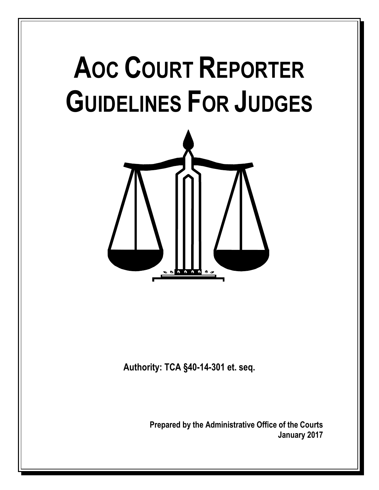# **AOC COURT REPORTER GUIDELINES FOR JUDGES**



**Authority: TCA §40-14-301 et. seq.**

**Prepared by the Administrative Office of the Courts January 2017**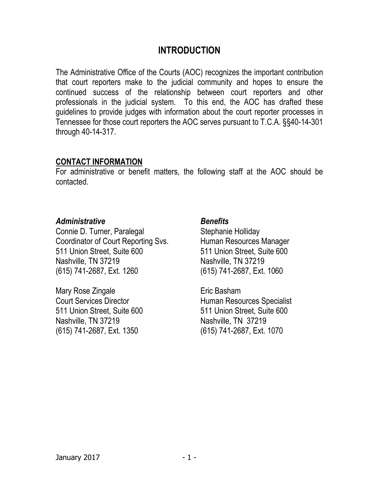#### **INTRODUCTION**

The Administrative Office of the Courts (AOC) recognizes the important contribution that court reporters make to the judicial community and hopes to ensure the continued success of the relationship between court reporters and other professionals in the judicial system. To this end, the AOC has drafted these guidelines to provide judges with information about the court reporter processes in Tennessee for those court reporters the AOC serves pursuant to T.C.A. §§40-14-301 through 40-14-317.

#### **CONTACT INFORMATION**

For administrative or benefit matters, the following staff at the AOC should be contacted.

#### *Administrative*

Connie D. Turner, Paralegal Coordinator of Court Reporting Svs. 511 Union Street, Suite 600 Nashville, TN 37219 (615) 741-2687, Ext. 1260

Mary Rose Zingale Court Services Director 511 Union Street, Suite 600 Nashville, TN 37219 (615) 741-2687, Ext. 1350

#### *Benefits*

Stephanie Holliday Human Resources Manager 511 Union Street, Suite 600 Nashville, TN 37219 (615) 741-2687, Ext. 1060

Eric Basham Human Resources Specialist 511 Union Street, Suite 600 Nashville, TN 37219 (615) 741-2687, Ext. 1070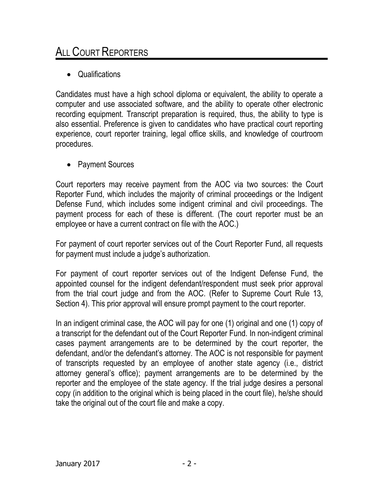## ALL COURT REPORTERS

Qualifications

Candidates must have a high school diploma or equivalent, the ability to operate a computer and use associated software, and the ability to operate other electronic recording equipment. Transcript preparation is required, thus, the ability to type is also essential. Preference is given to candidates who have practical court reporting experience, court reporter training, legal office skills, and knowledge of courtroom procedures.

• Payment Sources

Court reporters may receive payment from the AOC via two sources: the Court Reporter Fund, which includes the majority of criminal proceedings or the Indigent Defense Fund, which includes some indigent criminal and civil proceedings. The payment process for each of these is different. (The court reporter must be an employee or have a current contract on file with the AOC.)

For payment of court reporter services out of the Court Reporter Fund, all requests for payment must include a judge's authorization.

For payment of court reporter services out of the Indigent Defense Fund, the appointed counsel for the indigent defendant/respondent must seek prior approval from the trial court judge and from the AOC. (Refer to Supreme Court Rule 13, Section 4). This prior approval will ensure prompt payment to the court reporter.

In an indigent criminal case, the AOC will pay for one (1) original and one (1) copy of a transcript for the defendant out of the Court Reporter Fund. In non-indigent criminal cases payment arrangements are to be determined by the court reporter, the defendant, and/or the defendant's attorney. The AOC is not responsible for payment of transcripts requested by an employee of another state agency (i.e., district attorney general's office); payment arrangements are to be determined by the reporter and the employee of the state agency. If the trial judge desires a personal copy (in addition to the original which is being placed in the court file), he/she should take the original out of the court file and make a copy.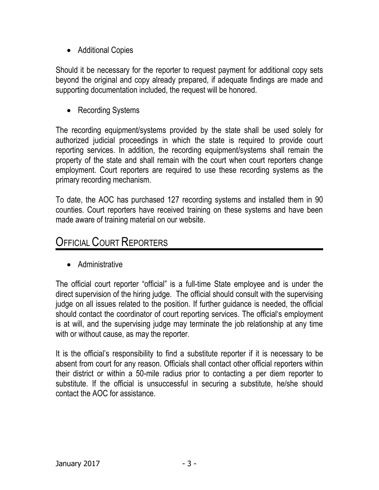• Additional Copies

Should it be necessary for the reporter to request payment for additional copy sets beyond the original and copy already prepared, if adequate findings are made and supporting documentation included, the request will be honored.

• Recording Systems

The recording equipment/systems provided by the state shall be used solely for authorized judicial proceedings in which the state is required to provide court reporting services. In addition, the recording equipment/systems shall remain the property of the state and shall remain with the court when court reporters change employment. Court reporters are required to use these recording systems as the primary recording mechanism.

To date, the AOC has purchased 127 recording systems and installed them in 90 counties. Court reporters have received training on these systems and have been made aware of training material on our website.

### **OFFICIAL COURT REPORTERS**

• Administrative

The official court reporter "official" is a full-time State employee and is under the direct supervision of the hiring judge. The official should consult with the supervising judge on all issues related to the position. If further guidance is needed, the official should contact the coordinator of court reporting services. The official's employment is at will, and the supervising judge may terminate the job relationship at any time with or without cause, as may the reporter.

It is the official's responsibility to find a substitute reporter if it is necessary to be absent from court for any reason. Officials shall contact other official reporters within their district or within a 50-mile radius prior to contacting a per diem reporter to substitute. If the official is unsuccessful in securing a substitute, he/she should contact the AOC for assistance.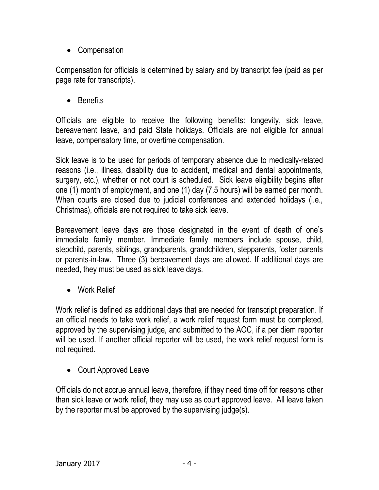• Compensation

Compensation for officials is determined by salary and by transcript fee (paid as per page rate for transcripts).

• Benefits

Officials are eligible to receive the following benefits: longevity, sick leave, bereavement leave, and paid State holidays. Officials are not eligible for annual leave, compensatory time, or overtime compensation.

Sick leave is to be used for periods of temporary absence due to medically-related reasons (i.e., illness, disability due to accident, medical and dental appointments, surgery, etc.), whether or not court is scheduled. Sick leave eligibility begins after one (1) month of employment, and one (1) day (7.5 hours) will be earned per month. When courts are closed due to judicial conferences and extended holidays (i.e., Christmas), officials are not required to take sick leave.

Bereavement leave days are those designated in the event of death of one's immediate family member. Immediate family members include spouse, child, stepchild, parents, siblings, grandparents, grandchildren, stepparents, foster parents or parents-in-law. Three (3) bereavement days are allowed. If additional days are needed, they must be used as sick leave days.

• Work Relief

Work relief is defined as additional days that are needed for transcript preparation. If an official needs to take work relief, a work relief request form must be completed, approved by the supervising judge, and submitted to the AOC, if a per diem reporter will be used. If another official reporter will be used, the work relief request form is not required.

• Court Approved Leave

Officials do not accrue annual leave, therefore, if they need time off for reasons other than sick leave or work relief, they may use as court approved leave. All leave taken by the reporter must be approved by the supervising judge(s).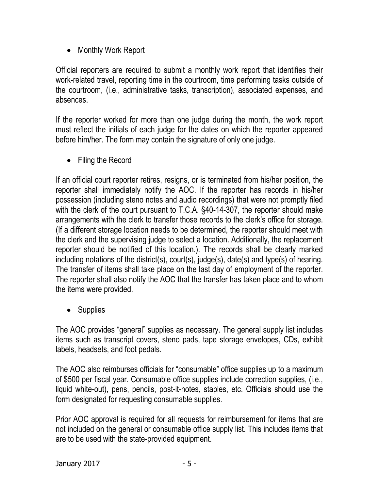• Monthly Work Report

Official reporters are required to submit a monthly work report that identifies their work-related travel, reporting time in the courtroom, time performing tasks outside of the courtroom, (i.e., administrative tasks, transcription), associated expenses, and absences.

If the reporter worked for more than one judge during the month, the work report must reflect the initials of each judge for the dates on which the reporter appeared before him/her. The form may contain the signature of only one judge.

• Filing the Record

If an official court reporter retires, resigns, or is terminated from his/her position, the reporter shall immediately notify the AOC. If the reporter has records in his/her possession (including steno notes and audio recordings) that were not promptly filed with the clerk of the court pursuant to T.C.A. §40-14-307, the reporter should make arrangements with the clerk to transfer those records to the clerk's office for storage. (If a different storage location needs to be determined, the reporter should meet with the clerk and the supervising judge to select a location. Additionally, the replacement reporter should be notified of this location.). The records shall be clearly marked including notations of the district(s), court(s), judge(s), date(s) and type(s) of hearing. The transfer of items shall take place on the last day of employment of the reporter. The reporter shall also notify the AOC that the transfer has taken place and to whom the items were provided.

• Supplies

The AOC provides "general" supplies as necessary. The general supply list includes items such as transcript covers, steno pads, tape storage envelopes, CDs, exhibit labels, headsets, and foot pedals.

The AOC also reimburses officials for "consumable" office supplies up to a maximum of \$500 per fiscal year. Consumable office supplies include correction supplies, (i.e., liquid white-out), pens, pencils, post-it-notes, staples, etc. Officials should use the form designated for requesting consumable supplies.

Prior AOC approval is required for all requests for reimbursement for items that are not included on the general or consumable office supply list. This includes items that are to be used with the state-provided equipment.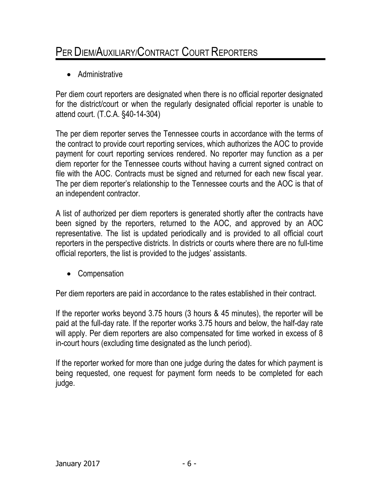## PER DIEM/AUXILIARY/CONTRACT COURT REPORTERS

• Administrative

Per diem court reporters are designated when there is no official reporter designated for the district/court or when the regularly designated official reporter is unable to attend court. (T.C.A. §40-14-304)

The per diem reporter serves the Tennessee courts in accordance with the terms of the contract to provide court reporting services, which authorizes the AOC to provide payment for court reporting services rendered. No reporter may function as a per diem reporter for the Tennessee courts without having a current signed contract on file with the AOC. Contracts must be signed and returned for each new fiscal year. The per diem reporter's relationship to the Tennessee courts and the AOC is that of an independent contractor.

A list of authorized per diem reporters is generated shortly after the contracts have been signed by the reporters, returned to the AOC, and approved by an AOC representative. The list is updated periodically and is provided to all official court reporters in the perspective districts. In districts or courts where there are no full-time official reporters, the list is provided to the judges' assistants.

• Compensation

Per diem reporters are paid in accordance to the rates established in their contract.

If the reporter works beyond 3.75 hours (3 hours & 45 minutes), the reporter will be paid at the full-day rate. If the reporter works 3.75 hours and below, the half-day rate will apply. Per diem reporters are also compensated for time worked in excess of 8 in-court hours (excluding time designated as the lunch period).

If the reporter worked for more than one judge during the dates for which payment is being requested, one request for payment form needs to be completed for each judge.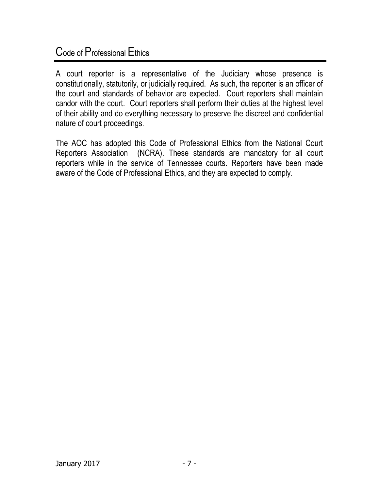## Code of Professional Ethics

A court reporter is a representative of the Judiciary whose presence is constitutionally, statutorily, or judicially required. As such, the reporter is an officer of the court and standards of behavior are expected. Court reporters shall maintain candor with the court. Court reporters shall perform their duties at the highest level of their ability and do everything necessary to preserve the discreet and confidential nature of court proceedings.

The AOC has adopted this Code of Professional Ethics from the National Court Reporters Association (NCRA). These standards are mandatory for all court reporters while in the service of Tennessee courts. Reporters have been made aware of the Code of Professional Ethics, and they are expected to comply.